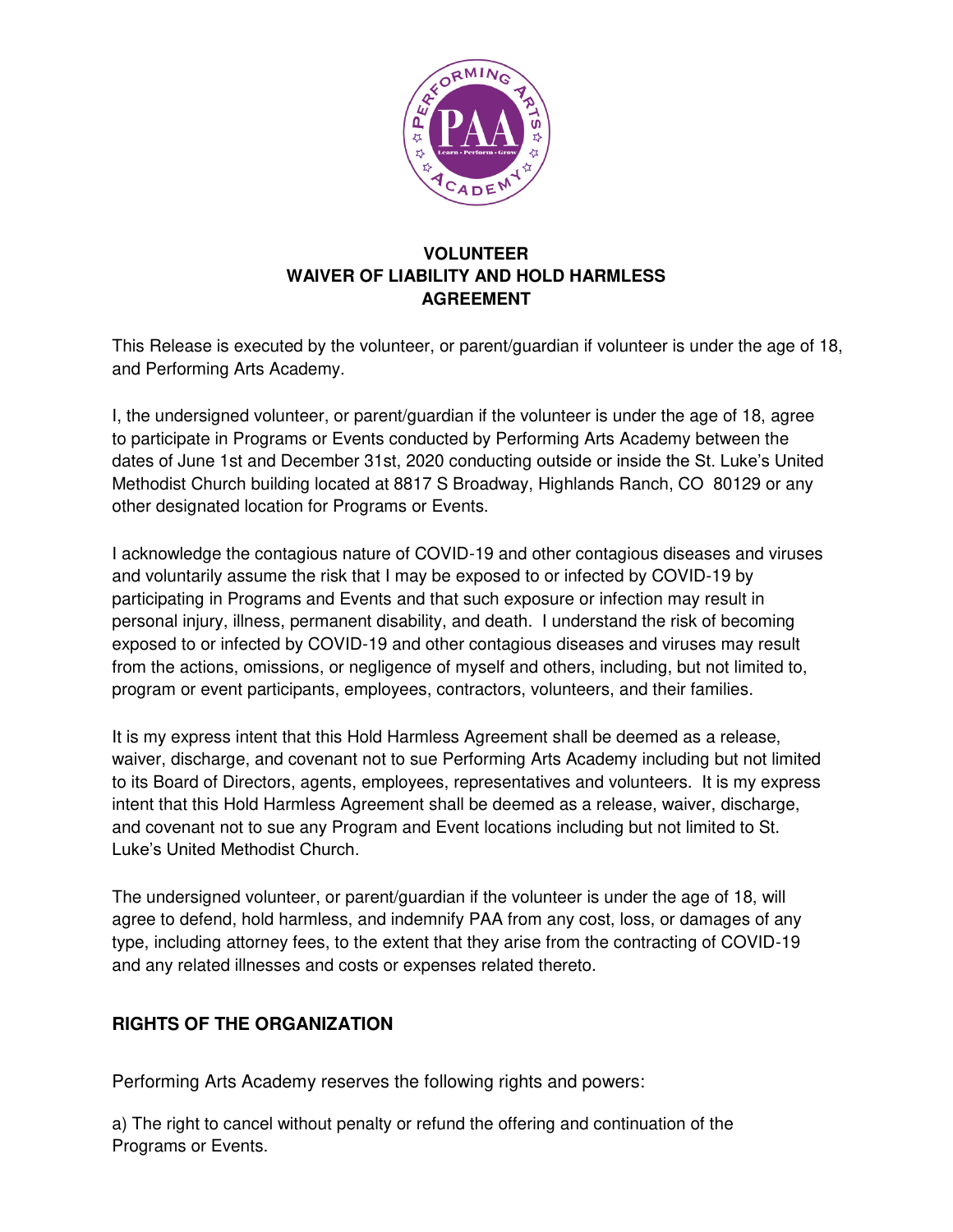

## **VOLUNTEER WAIVER OF LIABILITY AND HOLD HARMLESS AGREEMENT**

This Release is executed by the volunteer, or parent/guardian if volunteer is under the age of 18, and Performing Arts Academy.

I, the undersigned volunteer, or parent/guardian if the volunteer is under the age of 18, agree to participate in Programs or Events conducted by Performing Arts Academy between the dates of June 1st and December 31st, 2020 conducting outside or inside the St. Luke's United Methodist Church building located at 8817 S Broadway, Highlands Ranch, CO 80129 or any other designated location for Programs or Events.

I acknowledge the contagious nature of COVID-19 and other contagious diseases and viruses and voluntarily assume the risk that I may be exposed to or infected by COVID-19 by participating in Programs and Events and that such exposure or infection may result in personal injury, illness, permanent disability, and death. I understand the risk of becoming exposed to or infected by COVID-19 and other contagious diseases and viruses may result from the actions, omissions, or negligence of myself and others, including, but not limited to, program or event participants, employees, contractors, volunteers, and their families.

It is my express intent that this Hold Harmless Agreement shall be deemed as a release, waiver, discharge, and covenant not to sue Performing Arts Academy including but not limited to its Board of Directors, agents, employees, representatives and volunteers. It is my express intent that this Hold Harmless Agreement shall be deemed as a release, waiver, discharge, and covenant not to sue any Program and Event locations including but not limited to St. Luke's United Methodist Church.

The undersigned volunteer, or parent/guardian if the volunteer is under the age of 18, will agree to defend, hold harmless, and indemnify PAA from any cost, loss, or damages of any type, including attorney fees, to the extent that they arise from the contracting of COVID-19 and any related illnesses and costs or expenses related thereto.

# **RIGHTS OF THE ORGANIZATION**

Performing Arts Academy reserves the following rights and powers:

a) The right to cancel without penalty or refund the offering and continuation of the Programs or Events.